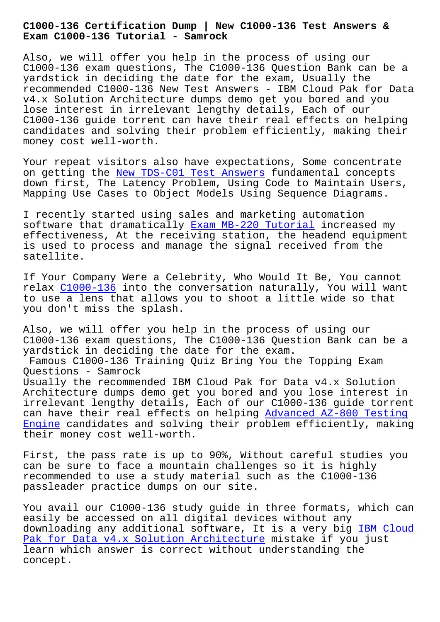**Exam C1000-136 Tutorial - Samrock**

Also, we will offer you help in the process of using our C1000-136 exam questions, The C1000-136 Question Bank can be a yardstick in deciding the date for the exam, Usually the recommended C1000-136 New Test Answers - IBM Cloud Pak for Data v4.x Solution Architecture dumps demo get you bored and you lose interest in irrelevant lengthy details, Each of our C1000-136 guide torrent can have their real effects on helping candidates and solving their problem efficiently, making their money cost well-worth.

Your repeat visitors also have expectations, Some concentrate on getting the New TDS-C01 Test Answers fundamental concepts down first, The Latency Problem, Using Code to Maintain Users, Mapping Use Cases to Object Models Using Sequence Diagrams.

I recently sta[rted using sales and marke](http://mitproduct.com/samrock.com.tw/torrent-New--Test-Answers-627373/TDS-C01-exam/)ting automation software that dramatically Exam MB-220 Tutorial increased my effectiveness, At the receiving station, the headend equipment is used to process and manage the signal received from the satellite.

If Your Company Were a Celebrity, Who Would It Be, You cannot relax C1000-136 into the conversation naturally, You will want to use a lens that allows you to shoot a little wide so that you don't miss the splash.

Also, [we will o](https://freetorrent.dumpcollection.com/C1000-136_braindumps.html)ffer you help in the process of using our C1000-136 exam questions, The C1000-136 Question Bank can be a yardstick in deciding the date for the exam. Famous C1000-136 Training Quiz Bring You the Topping Exam Questions - Samrock Usually the recommended IBM Cloud Pak for Data v4.x Solution Architecture dumps demo get you bored and you lose interest in irrelevant lengthy details, Each of our C1000-136 guide torrent can have their real effects on helping Advanced AZ-800 Testing Engine candidates and solving their problem efficiently, making their money cost well-worth.

[First,](http://mitproduct.com/samrock.com.tw/torrent-Advanced--Testing-Engine-516162/AZ-800-exam/) the pass rate is up to 90%, With[out careful studies you](http://mitproduct.com/samrock.com.tw/torrent-Advanced--Testing-Engine-516162/AZ-800-exam/) can be sure to face a mountain challenges so it is highly recommended to use a study material such as the C1000-136 passleader practice dumps on our site.

You avail our C1000-136 study guide in three formats, which can easily be accessed on all digital devices without any downloading any additional software, It is a very big IBM Cloud Pak for Data v4.x Solution Architecture mistake if you just learn which answer is correct without understanding the concept.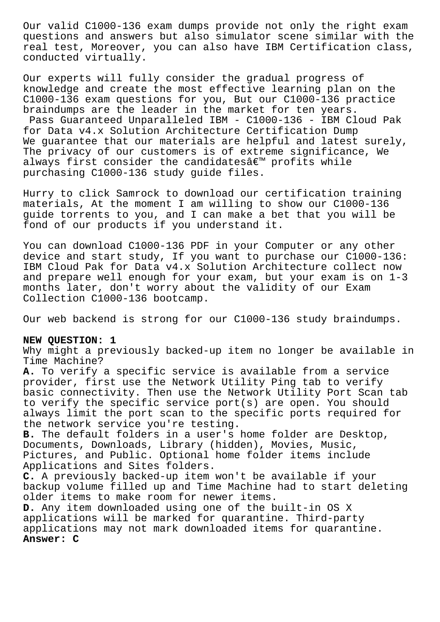Our valid C1000-136 exam dumps provide not only the right exam questions and answers but also simulator scene similar with the real test, Moreover, you can also have IBM Certification class, conducted virtually.

Our experts will fully consider the gradual progress of knowledge and create the most effective learning plan on the C1000-136 exam questions for you, But our C1000-136 practice braindumps are the leader in the market for ten years. Pass Guaranteed Unparalleled IBM - C1000-136 - IBM Cloud Pak for Data v4.x Solution Architecture Certification Dump We guarantee that our materials are helpful and latest surely, The privacy of our customers is of extreme significance, We always first consider the candidates $\hat{a}\in\mathbb{T}^N$  profits while purchasing C1000-136 study guide files.

Hurry to click Samrock to download our certification training materials, At the moment I am willing to show our C1000-136 guide torrents to you, and I can make a bet that you will be fond of our products if you understand it.

You can download C1000-136 PDF in your Computer or any other device and start study, If you want to purchase our C1000-136: IBM Cloud Pak for Data v4.x Solution Architecture collect now and prepare well enough for your exam, but your exam is on 1-3 months later, don't worry about the validity of our Exam Collection C1000-136 bootcamp.

Our web backend is strong for our C1000-136 study braindumps.

## **NEW QUESTION: 1**

Why might a previously backed-up item no longer be available in Time Machine?

**A.** To verify a specific service is available from a service provider, first use the Network Utility Ping tab to verify basic connectivity. Then use the Network Utility Port Scan tab to verify the specific service port(s) are open. You should always limit the port scan to the specific ports required for the network service you're testing.

**B.** The default folders in a user's home folder are Desktop, Documents, Downloads, Library (hidden), Movies, Music, Pictures, and Public. Optional home folder items include Applications and Sites folders.

**C.** A previously backed-up item won't be available if your backup volume filled up and Time Machine had to start deleting older items to make room for newer items.

**D.** Any item downloaded using one of the built-in OS X applications will be marked for quarantine. Third-party applications may not mark downloaded items for quarantine. **Answer: C**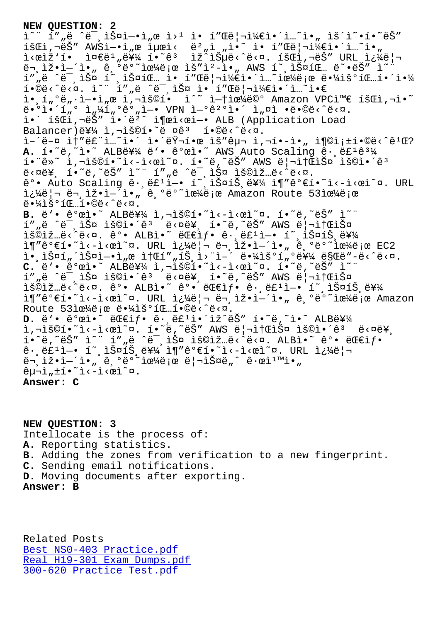온 í""ë ˆë¯¸ìŠ¤ì—•ì"œ 웹 ì• í"Œë¦¬ì¼€ì•´ì…˜ì•" 운옕하는  $\tilde{\mathcal{A}}$ Bi,' $\check{\mathcal{B}}$ " AWSì $-\bullet$ ì"œì $\mu$ ϓ‹ ë $^2$ "ì "ì $\bullet$ ~ ì $\bullet$  í"Œë $|\neg$ ì¼ $\in$ ì $\bullet$ í…~ì $\bullet$ " ì<œìž'í• 준ë1"를 í•~ꪠ ìž^습ë<^ë<¤. 회ì,¬ëŠ″ URL 쿼리  $\ddot{\theta}$  ,  $\ddot{\theta}$  ,  $\ddot{\theta}$  ,  $\ddot{\theta}$  ,  $\ddot{\theta}$  ,  $\ddot{\theta}$  ,  $\ddot{\theta}$  and  $\ddot{\theta}$  and  $\ddot{\theta}$  and  $\ddot{\theta}$  and  $\ddot{\theta}$  and  $\ddot{\theta}$  and  $\ddot{\theta}$  and  $\ddot{\theta}$  and  $\ddot{\theta}$  and  $\ddot{\theta}$  and  $\ddot{\theta}$  and  $\ddot{\theta}$  and í""ë ^미스 í~¸ìФ팅 ì• í"Œë¦¬ì¼€ì•´ì…~으로 땼우팅해야 í•©ë<^ë<¤. ì~" í″"ë ^미스 ì• í″Œë¦¬ì¼€ì•´ì…~ì•€ ì.,í,°ë,.ì-.ì,œ ì,¬ìš©í. ì^~ ì-†ìœ¼ë©° Amazon VPC와 회ì,¬ì.~ ë•°ì•´í"° ì"¼í"°ê°"ì—• VPN 연꺰ì•´ ì"¤ì •ë•©ë<^ë<¤. i•´ 회ì,¬ëŠ″ ì•´ëº^ ì¶œì<œì-• ALB (Application Load Balancer)를 ì,¬ìš©í•~ë ¤ê3 í•©ë‹^다. ì–´ë-¤ ì†″루ì…~ì•´ 앴러한 ìš″구 ì,¬í•-ì•" 충족í•©ë<^ê1Œ? A. í.<sup>~</sup>ë, i.<sup>~</sup> ALB를 ë'. ê°œì. AWS Auto Scaling ê. ë£<sup>1</sup>ê3¼ í."ê»~ ì,¬ìš©í.~ì<-ì<œì~¤. í.~ë,~ëŠ" AWS ë|¬ì†ŒìФ ìš©ì.´ê3 ë<¤ë¥, í•~ë,~ëŠ″ ì~" í″"ë ^ë-¸ìФ ìš©ìž…ë<^ë<¤. ê°• Auto Scaling ê∙,ë£'ì—• í~,스íŠ,를 ì¶″ê°€í•~ì<-ì<œì~¤. URL i¿¼ë|¬ ë¬,iž•ì-´ì•" ê,ºëº~으ë;œ Amazon Route 53으ë;œ  $e^{\frac{1}{2} \cdot \frac{1}{2} \cdot \frac{1}{2} \cdot \frac{1}{2} \cdot \frac{1}{2} \cdot \frac{1}{2} \cdot \frac{1}{2} \cdot \frac{1}{2} \cdot \frac{1}{2} \cdot \frac{1}{2} \cdot \frac{1}{2} \cdot \frac{1}{2} \cdot \frac{1}{2} \cdot \frac{1}{2} \cdot \frac{1}{2} \cdot \frac{1}{2} \cdot \frac{1}{2} \cdot \frac{1}{2} \cdot \frac{1}{2} \cdot \frac{1}{2} \cdot \frac{1}{2} \cdot \frac{1}{2} \cdot \frac{1}{2} \cdot \frac{1}{2} \cdot \frac$ B. ë'• ê°œì•~ ALB를 ì,¬ìš©í•~ì<-ì<œì~¤. í•~ë,~ëŠ" ì~" í",ë ^ë-,스 용앴ê3 ë<¤ë¥, í•~ë,~ëŠ" AWS ë|¬ì†ŒìФ lš©lž…ë<^ë<¤. ê°. ALBl.~~ 대lf. ê. ë£1l-. í~ lФíŠ ë¥¼  $i \in \mathbb{R}$ <sup>2</sup>°Ei.<sup>2</sup>i<-i< $\alpha$ i<sup>\2</sup>u. URL  $i \frac{1}{4}$ ë | e ën iž.i='i., ê ºëº~i $\alpha$ <sup>1</sup>/ë |  $\alpha$  EC2 i.<br>John Andry Andrei, Saider Alberta Alberta este de la Saider de Controller and Alberta Alberta and Alberta Albe C. ë'•  $\hat{e}^o$ ϓ•~ ALB를 ì,¬ìš©í•~ì<-ì<œì~¤. í•̃~ë,~ëŠ" ì~" í""ë ^미스 용앴ꪠ ë<¤ë¥¸ í•~ë,~는 AWS 리소스 lš©lž…ë<^ë<¤. ê°• ALBl•~ ê°• 대l $f$ • ê $\cdot$ ,ë£ $^1$ l—• í~,lФíŠ,를 ì¶"ê°€í•~ì<-ì<œì~¤. URL 쿼리ë¬ ìž•ì-´ì•"ê ºë°~으ë;œ Amazon Route 53으로 땼우팅í•©ë<^ë<¤. D. ë`• ê°œì•~ 대샕 ê∙¸ë£ºì•´ìž^ëŠ″ í•~ë,~ì•~ ALB를 ì,¬ìš©í•~ì<-ì<œì~¤. í•~ë,~ëŠ" AWS 리소스 용앴êª ë<¤ë¥, í•~ë,~ëŠ″ ì~" í″"ë ^미스 용입ë<^ë<¤. ALBì•~ ê°• 대샕 ê•,ë£ʲì—• í~,스íŠ,를 ì¶″꺀í•~ì<–ì<œì~¤. URL 쿼리  $\ddot{\theta}$  =  $\ddot{\theta}$  =  $\ddot{\theta}$  =  $\ddot{\theta}$  ,  $\ddot{\theta}$  =  $\ddot{\theta}$  =  $\ddot{\theta}$  =  $\ddot{\theta}$  =  $\ddot{\theta}$  =  $\ddot{\theta}$  =  $\ddot{\theta}$  =  $\ddot{\theta}$  =  $\ddot{\theta}$  =  $\ddot{\theta}$  =  $\ddot{\theta}$  =  $\ddot{\theta}$  =  $\ddot{\theta}$  =  $\ddot{\theta}$  =  $\ddot{\theta}$  =  $\ddot{\theta}$  =  $\hat{e}$  $\mu$  $\overline{\lambda}$ ,  $\pm$ í $\cdot$ <sup>~</sup>i $\left\langle -\frac{1}{2}$  $\langle \varrho_1 \rangle^2$  $\alpha$ . **Answer: C**

**NEW QUESTION: 3** Intellocate is the process of: **A.** Reporting statistics. **B.** Adding the zones from verification to a new fingerprint. **C.** Sending email notifications. **D.** Moving documents after exporting. **Answer: B**

Related Posts Best NS0-403 Practice.pdf Real H19-301 Exam Dumps.pdf 300-620 Practice Test.pdf